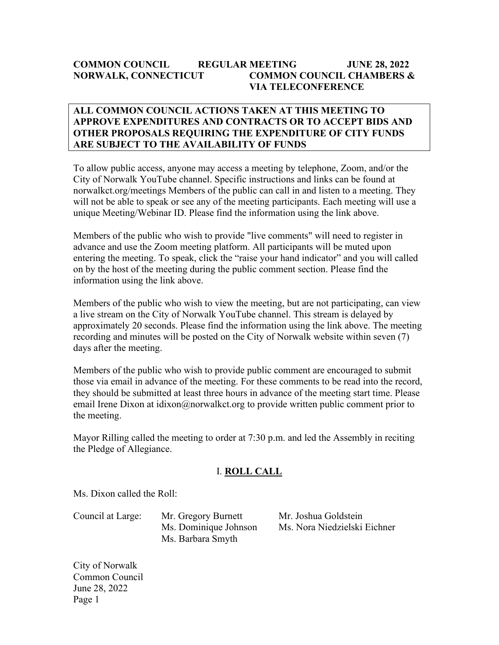#### **COMMON COUNCIL REGULAR MEETING JUNE 28, 2022 NORWALK, CONNECTICUT COMMON COUNCIL CHAMBERS & VIA TELECONFERENCE**

#### **ALL COMMON COUNCIL ACTIONS TAKEN AT THIS MEETING TO APPROVE EXPENDITURES AND CONTRACTS OR TO ACCEPT BIDS AND OTHER PROPOSALS REQUIRING THE EXPENDITURE OF CITY FUNDS ARE SUBJECT TO THE AVAILABILITY OF FUNDS**

To allow public access, anyone may access a meeting by telephone, Zoom, and/or the City of Norwalk YouTube channel. Specific instructions and links can be found at norwalkct.org/meetings Members of the public can call in and listen to a meeting. They will not be able to speak or see any of the meeting participants. Each meeting will use a unique Meeting/Webinar ID. Please find the information using the link above.

Members of the public who wish to provide "live comments" will need to register in advance and use the Zoom meeting platform. All participants will be muted upon entering the meeting. To speak, click the "raise your hand indicator" and you will called on by the host of the meeting during the public comment section. Please find the information using the link above.

Members of the public who wish to view the meeting, but are not participating, can view a live stream on the City of Norwalk YouTube channel. This stream is delayed by approximately 20 seconds. Please find the information using the link above. The meeting recording and minutes will be posted on the City of Norwalk website within seven (7) days after the meeting.

Members of the public who wish to provide public comment are encouraged to submit those via email in advance of the meeting. For these comments to be read into the record, they should be submitted at least three hours in advance of the meeting start time. Please email Irene Dixon at idixon@norwalkct.org to provide written public comment prior to the meeting.

Mayor Rilling called the meeting to order at 7:30 p.m. and led the Assembly in reciting the Pledge of Allegiance.

#### I. **ROLL CALL**

Ms. Dixon called the Roll:

Ms. Barbara Smyth

Council at Large: Mr. Gregory Burnett Mr. Joshua Goldstein Ms. Dominique Johnson Ms. Nora Niedzielski Eichner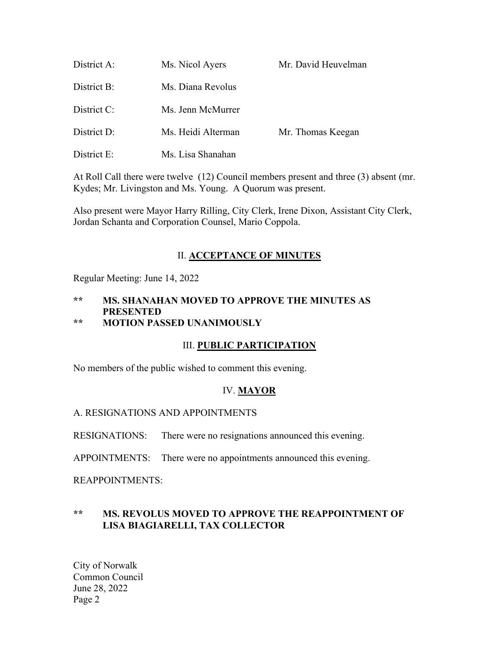| District A:    | Ms. Nicol Ayers    | Mr. David Heuvelman |
|----------------|--------------------|---------------------|
| District B:    | Ms. Diana Revolus  |                     |
| District C:    | Ms. Jenn McMurrer  |                     |
| District D:    | Ms. Heidi Alterman | Mr. Thomas Keegan   |
| District $E$ : | Ms. Lisa Shanahan  |                     |

At Roll Call there were twelve (12) Council members present and three (3) absent (mr. Kydes; Mr. Livingston and Ms. Young. A Quorum was present.

Also present were Mayor Harry Rilling, City Clerk, Irene Dixon, Assistant City Clerk, Jordan Schanta and Corporation Counsel, Mario Coppola.

#### II. **ACCEPTANCE OF MINUTES**

Regular Meeting: June 14, 2022

# **\*\* MS. SHANAHAN MOVED TO APPROVE THE MINUTES AS PRESENTED**

# **\*\* MOTION PASSED UNANIMOUSLY**

#### III. **PUBLIC PARTICIPATION**

No members of the public wished to comment this evening.

#### IV. **MAYOR**

#### A. RESIGNATIONS AND APPOINTMENTS

RESIGNATIONS: There were no resignations announced this evening.

APPOINTMENTS: There were no appointments announced this evening.

#### REAPPOINTMENTS:

#### **\*\* MS. REVOLUS MOVED TO APPROVE THE REAPPOINTMENT OF LISA BIAGIARELLI, TAX COLLECTOR**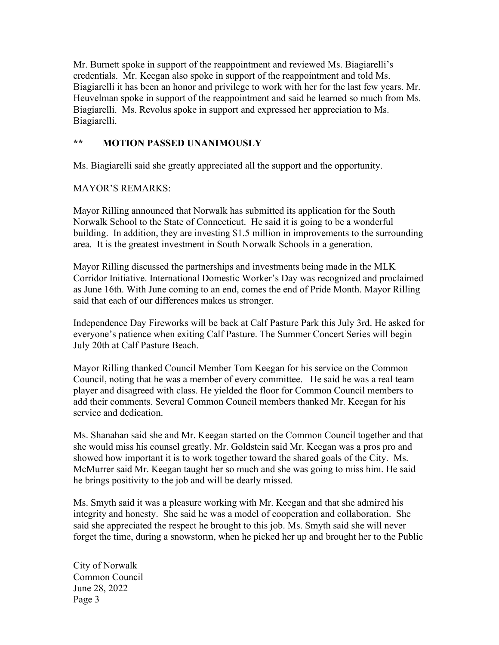Mr. Burnett spoke in support of the reappointment and reviewed Ms. Biagiarelli's credentials. Mr. Keegan also spoke in support of the reappointment and told Ms. Biagiarelli it has been an honor and privilege to work with her for the last few years. Mr. Heuvelman spoke in support of the reappointment and said he learned so much from Ms. Biagiarelli. Ms. Revolus spoke in support and expressed her appreciation to Ms. Biagiarelli.

## **\*\* MOTION PASSED UNANIMOUSLY**

Ms. Biagiarelli said she greatly appreciated all the support and the opportunity.

MAYOR'S REMARKS:

Mayor Rilling announced that Norwalk has submitted its application for the South Norwalk School to the State of Connecticut. He said it is going to be a wonderful building. In addition, they are investing \$1.5 million in improvements to the surrounding area. It is the greatest investment in South Norwalk Schools in a generation.

Mayor Rilling discussed the partnerships and investments being made in the MLK Corridor Initiative. International Domestic Worker's Day was recognized and proclaimed as June 16th. With June coming to an end, comes the end of Pride Month. Mayor Rilling said that each of our differences makes us stronger.

Independence Day Fireworks will be back at Calf Pasture Park this July 3rd. He asked for everyone's patience when exiting Calf Pasture. The Summer Concert Series will begin July 20th at Calf Pasture Beach.

Mayor Rilling thanked Council Member Tom Keegan for his service on the Common Council, noting that he was a member of every committee. He said he was a real team player and disagreed with class. He yielded the floor for Common Council members to add their comments. Several Common Council members thanked Mr. Keegan for his service and dedication.

Ms. Shanahan said she and Mr. Keegan started on the Common Council together and that she would miss his counsel greatly. Mr. Goldstein said Mr. Keegan was a pros pro and showed how important it is to work together toward the shared goals of the City. Ms. McMurrer said Mr. Keegan taught her so much and she was going to miss him. He said he brings positivity to the job and will be dearly missed.

Ms. Smyth said it was a pleasure working with Mr. Keegan and that she admired his integrity and honesty. She said he was a model of cooperation and collaboration. She said she appreciated the respect he brought to this job. Ms. Smyth said she will never forget the time, during a snowstorm, when he picked her up and brought her to the Public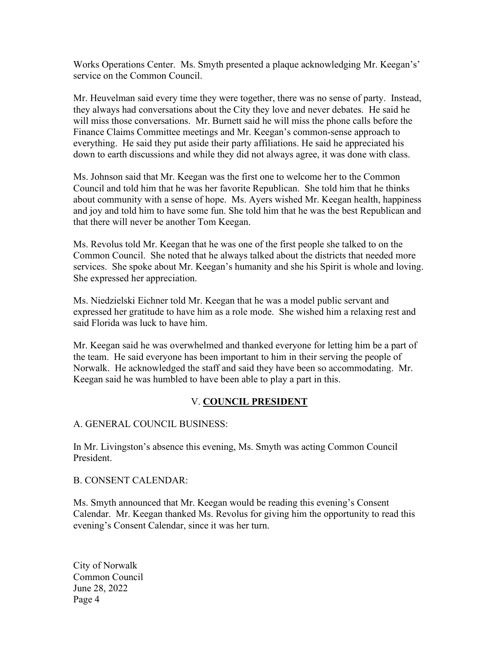Works Operations Center. Ms. Smyth presented a plaque acknowledging Mr. Keegan's' service on the Common Council.

Mr. Heuvelman said every time they were together, there was no sense of party. Instead, they always had conversations about the City they love and never debates. He said he will miss those conversations. Mr. Burnett said he will miss the phone calls before the Finance Claims Committee meetings and Mr. Keegan's common-sense approach to everything. He said they put aside their party affiliations. He said he appreciated his down to earth discussions and while they did not always agree, it was done with class.

Ms. Johnson said that Mr. Keegan was the first one to welcome her to the Common Council and told him that he was her favorite Republican. She told him that he thinks about community with a sense of hope. Ms. Ayers wished Mr. Keegan health, happiness and joy and told him to have some fun. She told him that he was the best Republican and that there will never be another Tom Keegan.

Ms. Revolus told Mr. Keegan that he was one of the first people she talked to on the Common Council. She noted that he always talked about the districts that needed more services. She spoke about Mr. Keegan's humanity and she his Spirit is whole and loving. She expressed her appreciation.

Ms. Niedzielski Eichner told Mr. Keegan that he was a model public servant and expressed her gratitude to have him as a role mode. She wished him a relaxing rest and said Florida was luck to have him.

Mr. Keegan said he was overwhelmed and thanked everyone for letting him be a part of the team. He said everyone has been important to him in their serving the people of Norwalk. He acknowledged the staff and said they have been so accommodating. Mr. Keegan said he was humbled to have been able to play a part in this.

#### V. **COUNCIL PRESIDENT**

A. GENERAL COUNCIL BUSINESS:

In Mr. Livingston's absence this evening, Ms. Smyth was acting Common Council President.

#### B. CONSENT CALENDAR:

Ms. Smyth announced that Mr. Keegan would be reading this evening's Consent Calendar. Mr. Keegan thanked Ms. Revolus for giving him the opportunity to read this evening's Consent Calendar, since it was her turn.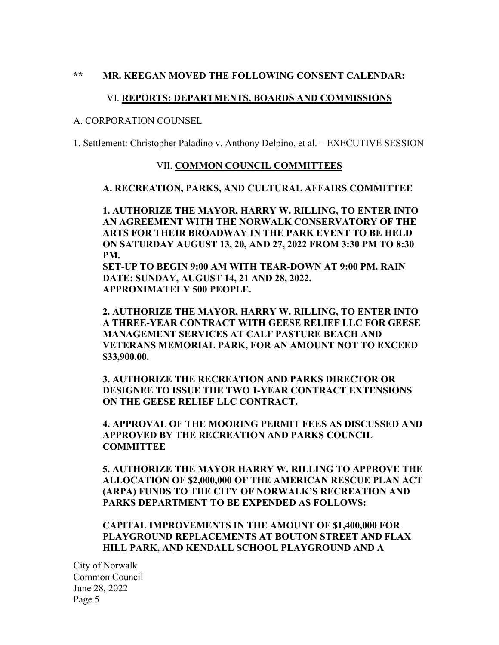#### **\*\* MR. KEEGAN MOVED THE FOLLOWING CONSENT CALENDAR:**

#### VI. **REPORTS: DEPARTMENTS, BOARDS AND COMMISSIONS**

#### A. CORPORATION COUNSEL

1. Settlement: Christopher Paladino v. Anthony Delpino, et al. – EXECUTIVE SESSION

#### VII. **COMMON COUNCIL COMMITTEES**

#### **A. RECREATION, PARKS, AND CULTURAL AFFAIRS COMMITTEE**

**1. AUTHORIZE THE MAYOR, HARRY W. RILLING, TO ENTER INTO AN AGREEMENT WITH THE NORWALK CONSERVATORY OF THE ARTS FOR THEIR BROADWAY IN THE PARK EVENT TO BE HELD ON SATURDAY AUGUST 13, 20, AND 27, 2022 FROM 3:30 PM TO 8:30 PM.** 

**SET-UP TO BEGIN 9:00 AM WITH TEAR-DOWN AT 9:00 PM. RAIN DATE: SUNDAY, AUGUST 14, 21 AND 28, 2022. APPROXIMATELY 500 PEOPLE.**

**2. AUTHORIZE THE MAYOR, HARRY W. RILLING, TO ENTER INTO A THREE-YEAR CONTRACT WITH GEESE RELIEF LLC FOR GEESE MANAGEMENT SERVICES AT CALF PASTURE BEACH AND VETERANS MEMORIAL PARK, FOR AN AMOUNT NOT TO EXCEED \$33,900.00.** 

**3. AUTHORIZE THE RECREATION AND PARKS DIRECTOR OR DESIGNEE TO ISSUE THE TWO 1-YEAR CONTRACT EXTENSIONS ON THE GEESE RELIEF LLC CONTRACT.**

**4. APPROVAL OF THE MOORING PERMIT FEES AS DISCUSSED AND APPROVED BY THE RECREATION AND PARKS COUNCIL COMMITTEE**

**5. AUTHORIZE THE MAYOR HARRY W. RILLING TO APPROVE THE ALLOCATION OF \$2,000,000 OF THE AMERICAN RESCUE PLAN ACT (ARPA) FUNDS TO THE CITY OF NORWALK'S RECREATION AND PARKS DEPARTMENT TO BE EXPENDED AS FOLLOWS:**

#### **CAPITAL IMPROVEMENTS IN THE AMOUNT OF \$1,400,000 FOR PLAYGROUND REPLACEMENTS AT BOUTON STREET AND FLAX HILL PARK, AND KENDALL SCHOOL PLAYGROUND AND A**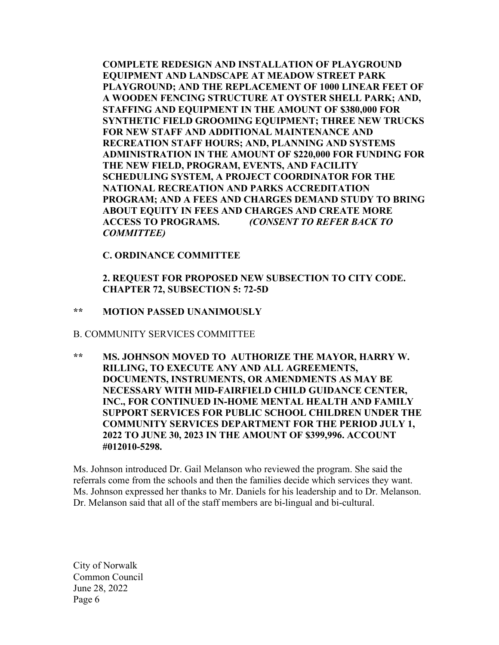**COMPLETE REDESIGN AND INSTALLATION OF PLAYGROUND EQUIPMENT AND LANDSCAPE AT MEADOW STREET PARK PLAYGROUND; AND THE REPLACEMENT OF 1000 LINEAR FEET OF A WOODEN FENCING STRUCTURE AT OYSTER SHELL PARK; AND, STAFFING AND EQUIPMENT IN THE AMOUNT OF \$380,000 FOR SYNTHETIC FIELD GROOMING EQUIPMENT; THREE NEW TRUCKS FOR NEW STAFF AND ADDITIONAL MAINTENANCE AND RECREATION STAFF HOURS; AND, PLANNING AND SYSTEMS ADMINISTRATION IN THE AMOUNT OF \$220,000 FOR FUNDING FOR THE NEW FIELD, PROGRAM, EVENTS, AND FACILITY SCHEDULING SYSTEM, A PROJECT COORDINATOR FOR THE NATIONAL RECREATION AND PARKS ACCREDITATION PROGRAM; AND A FEES AND CHARGES DEMAND STUDY TO BRING ABOUT EQUITY IN FEES AND CHARGES AND CREATE MORE ACCESS TO PROGRAMS.** *(CONSENT TO REFER BACK TO COMMITTEE)*

**C. ORDINANCE COMMITTEE**

**2. REQUEST FOR PROPOSED NEW SUBSECTION TO CITY CODE. CHAPTER 72, SUBSECTION 5: 72-5D**

#### **\*\* MOTION PASSED UNANIMOUSLY**

B. COMMUNITY SERVICES COMMITTEE

**\*\* MS. JOHNSON MOVED TO AUTHORIZE THE MAYOR, HARRY W. RILLING, TO EXECUTE ANY AND ALL AGREEMENTS, DOCUMENTS, INSTRUMENTS, OR AMENDMENTS AS MAY BE NECESSARY WITH MID-FAIRFIELD CHILD GUIDANCE CENTER, INC., FOR CONTINUED IN-HOME MENTAL HEALTH AND FAMILY SUPPORT SERVICES FOR PUBLIC SCHOOL CHILDREN UNDER THE COMMUNITY SERVICES DEPARTMENT FOR THE PERIOD JULY 1, 2022 TO JUNE 30, 2023 IN THE AMOUNT OF \$399,996. ACCOUNT #012010-5298.**

Ms. Johnson introduced Dr. Gail Melanson who reviewed the program. She said the referrals come from the schools and then the families decide which services they want. Ms. Johnson expressed her thanks to Mr. Daniels for his leadership and to Dr. Melanson. Dr. Melanson said that all of the staff members are bi-lingual and bi-cultural.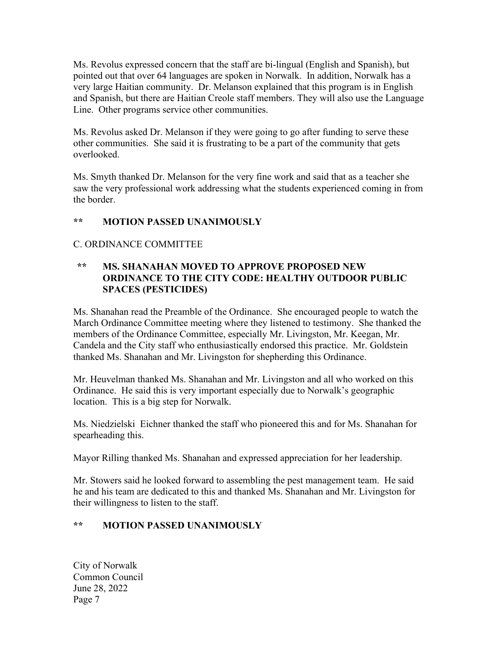Ms. Revolus expressed concern that the staff are bi-lingual (English and Spanish), but pointed out that over 64 languages are spoken in Norwalk. In addition, Norwalk has a very large Haitian community. Dr. Melanson explained that this program is in English and Spanish, but there are Haitian Creole staff members. They will also use the Language Line. Other programs service other communities.

Ms. Revolus asked Dr. Melanson if they were going to go after funding to serve these other communities. She said it is frustrating to be a part of the community that gets overlooked.

Ms. Smyth thanked Dr. Melanson for the very fine work and said that as a teacher she saw the very professional work addressing what the students experienced coming in from the border.

## **\*\* MOTION PASSED UNANIMOUSLY**

#### C. ORDINANCE COMMITTEE

#### **\*\* MS. SHANAHAN MOVED TO APPROVE PROPOSED NEW ORDINANCE TO THE CITY CODE: HEALTHY OUTDOOR PUBLIC SPACES (PESTICIDES)**

Ms. Shanahan read the Preamble of the Ordinance. She encouraged people to watch the March Ordinance Committee meeting where they listened to testimony. She thanked the members of the Ordinance Committee, especially Mr. Livingston, Mr. Keegan, Mr. Candela and the City staff who enthusiastically endorsed this practice. Mr. Goldstein thanked Ms. Shanahan and Mr. Livingston for shepherding this Ordinance.

Mr. Heuvelman thanked Ms. Shanahan and Mr. Livingston and all who worked on this Ordinance. He said this is very important especially due to Norwalk's geographic location. This is a big step for Norwalk.

Ms. Niedzielski Eichner thanked the staff who pioneered this and for Ms. Shanahan for spearheading this.

Mayor Rilling thanked Ms. Shanahan and expressed appreciation for her leadership.

Mr. Stowers said he looked forward to assembling the pest management team. He said he and his team are dedicated to this and thanked Ms. Shanahan and Mr. Livingston for their willingness to listen to the staff.

## **\*\* MOTION PASSED UNANIMOUSLY**